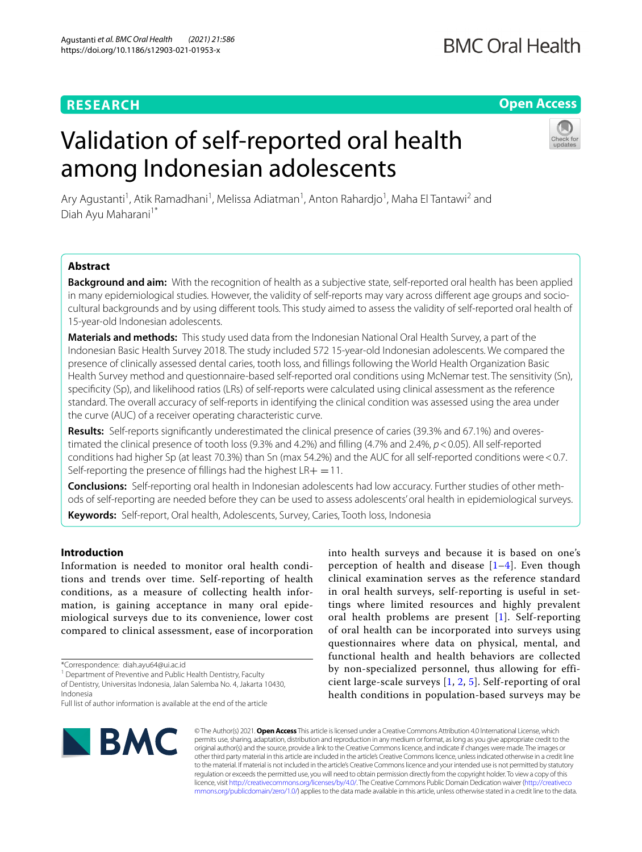## **RESEARCH**

## **Open Access**

# Validation of self-reported oral health among Indonesian adolescents



Ary Agustanti<sup>1</sup>, Atik Ramadhani<sup>1</sup>, Melissa Adiatman<sup>1</sup>, Anton Rahardjo<sup>1</sup>, Maha El Tantawi<sup>2</sup> and Diah Ayu Maharani<sup>1\*</sup>

## **Abstract**

**Background and aim:** With the recognition of health as a subjective state, self-reported oral health has been applied in many epidemiological studies. However, the validity of self-reports may vary across diferent age groups and sociocultural backgrounds and by using diferent tools. This study aimed to assess the validity of self-reported oral health of 15-year-old Indonesian adolescents.

**Materials and methods:** This study used data from the Indonesian National Oral Health Survey, a part of the Indonesian Basic Health Survey 2018. The study included 572 15-year-old Indonesian adolescents. We compared the presence of clinically assessed dental caries, tooth loss, and fllings following the World Health Organization Basic Health Survey method and questionnaire-based self-reported oral conditions using McNemar test. The sensitivity (Sn), specifcity (Sp), and likelihood ratios (LRs) of self-reports were calculated using clinical assessment as the reference standard. The overall accuracy of self-reports in identifying the clinical condition was assessed using the area under the curve (AUC) of a receiver operating characteristic curve.

**Results:** Self-reports signifcantly underestimated the clinical presence of caries (39.3% and 67.1%) and overestimated the clinical presence of tooth loss (9.3% and 4.2%) and flling (4.7% and 2.4%, *p*<0.05). All self-reported conditions had higher Sp (at least 70.3%) than Sn (max 54.2%) and the AUC for all self-reported conditions were<0.7. Self-reporting the presence of fillings had the highest  $LR + =11$ .

**Conclusions:** Self-reporting oral health in Indonesian adolescents had low accuracy. Further studies of other methods of self-reporting are needed before they can be used to assess adolescents' oral health in epidemiological surveys.

**Keywords:** Self-report, Oral health, Adolescents, Survey, Caries, Tooth loss, Indonesia

## **Introduction**

Information is needed to monitor oral health conditions and trends over time. Self-reporting of health conditions, as a measure of collecting health information, is gaining acceptance in many oral epidemiological surveys due to its convenience, lower cost compared to clinical assessment, ease of incorporation

<sup>1</sup> Department of Preventive and Public Health Dentistry, Faculty

of Dentistry, Universitas Indonesia, Jalan Salemba No. 4, Jakarta 10430, Indonesia

into health surveys and because it is based on one's perception of health and disease  $[1-4]$  $[1-4]$  $[1-4]$ . Even though clinical examination serves as the reference standard in oral health surveys, self-reporting is useful in settings where limited resources and highly prevalent oral health problems are present [[1\]](#page-5-0). Self-reporting of oral health can be incorporated into surveys using questionnaires where data on physical, mental, and functional health and health behaviors are collected by non-specialized personnel, thus allowing for efficient large-scale surveys [[1,](#page-5-0) [2,](#page-5-2) [5](#page-5-3)]. Self-reporting of oral health conditions in population-based surveys may be



© The Author(s) 2021. **Open Access** This article is licensed under a Creative Commons Attribution 4.0 International License, which permits use, sharing, adaptation, distribution and reproduction in any medium or format, as long as you give appropriate credit to the original author(s) and the source, provide a link to the Creative Commons licence, and indicate if changes were made. The images or other third party material in this article are included in the article's Creative Commons licence, unless indicated otherwise in a credit line to the material. If material is not included in the article's Creative Commons licence and your intended use is not permitted by statutory regulation or exceeds the permitted use, you will need to obtain permission directly from the copyright holder. To view a copy of this licence, visit [http://creativecommons.org/licenses/by/4.0/.](http://creativecommons.org/licenses/by/4.0/) The Creative Commons Public Domain Dedication waiver ([http://creativeco](http://creativecommons.org/publicdomain/zero/1.0/) [mmons.org/publicdomain/zero/1.0/](http://creativecommons.org/publicdomain/zero/1.0/)) applies to the data made available in this article, unless otherwise stated in a credit line to the data.

<sup>\*</sup>Correspondence: diah.ayu64@ui.ac.id

Full list of author information is available at the end of the article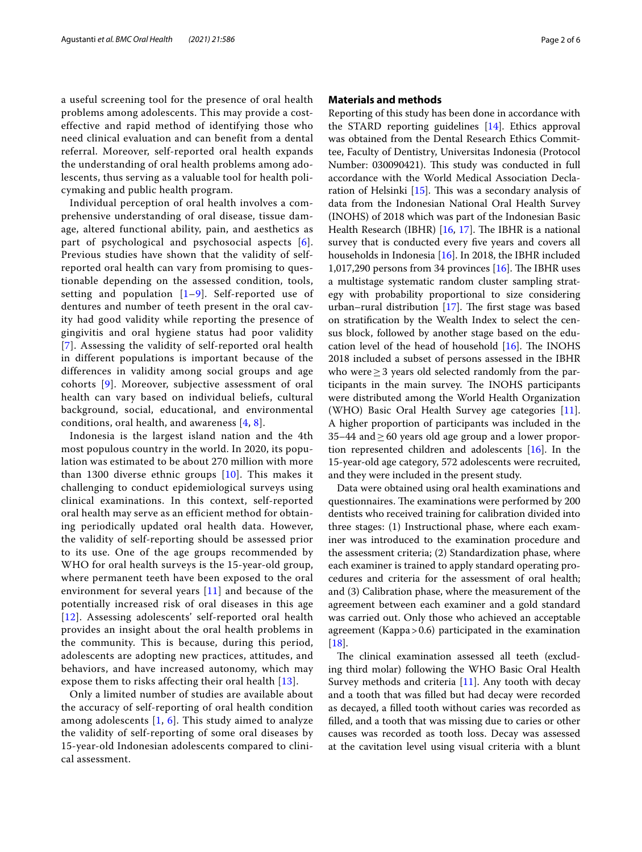a useful screening tool for the presence of oral health problems among adolescents. This may provide a costeffective and rapid method of identifying those who need clinical evaluation and can benefit from a dental referral. Moreover, self-reported oral health expands the understanding of oral health problems among adolescents, thus serving as a valuable tool for health policymaking and public health program.

Individual perception of oral health involves a comprehensive understanding of oral disease, tissue damage, altered functional ability, pain, and aesthetics as part of psychological and psychosocial aspects [[6\]](#page-5-4). Previous studies have shown that the validity of selfreported oral health can vary from promising to questionable depending on the assessed condition, tools, setting and population  $[1-9]$  $[1-9]$  $[1-9]$ . Self-reported use of dentures and number of teeth present in the oral cavity had good validity while reporting the presence of gingivitis and oral hygiene status had poor validity [[7](#page-5-6)]. Assessing the validity of self-reported oral health in different populations is important because of the differences in validity among social groups and age cohorts [\[9](#page-5-5)]. Moreover, subjective assessment of oral health can vary based on individual beliefs, cultural background, social, educational, and environmental conditions, oral health, and awareness [\[4](#page-5-1), [8](#page-5-7)].

Indonesia is the largest island nation and the 4th most populous country in the world. In 2020, its population was estimated to be about 270 million with more than 1300 diverse ethnic groups  $[10]$  $[10]$  $[10]$ . This makes it challenging to conduct epidemiological surveys using clinical examinations. In this context, self-reported oral health may serve as an efficient method for obtaining periodically updated oral health data. However, the validity of self-reporting should be assessed prior to its use. One of the age groups recommended by WHO for oral health surveys is the 15-year-old group, where permanent teeth have been exposed to the oral environment for several years [\[11](#page-5-9)] and because of the potentially increased risk of oral diseases in this age [[12](#page-5-10)]. Assessing adolescents' self-reported oral health provides an insight about the oral health problems in the community. This is because, during this period, adolescents are adopting new practices, attitudes, and behaviors, and have increased autonomy, which may expose them to risks affecting their oral health [\[13](#page-5-11)].

Only a limited number of studies are available about the accuracy of self-reporting of oral health condition among adolescents  $[1, 6]$  $[1, 6]$  $[1, 6]$  $[1, 6]$  $[1, 6]$ . This study aimed to analyze the validity of self-reporting of some oral diseases by 15-year-old Indonesian adolescents compared to clinical assessment.

## **Materials and methods**

Reporting of this study has been done in accordance with the STARD reporting guidelines [[14\]](#page-5-12). Ethics approval was obtained from the Dental Research Ethics Committee, Faculty of Dentistry, Universitas Indonesia (Protocol Number: 030090421). This study was conducted in full accordance with the World Medical Association Declaration of Helsinki  $[15]$  $[15]$  $[15]$ . This was a secondary analysis of data from the Indonesian National Oral Health Survey (INOHS) of 2018 which was part of the Indonesian Basic Health Research (IBHR)  $[16, 17]$  $[16, 17]$  $[16, 17]$  $[16, 17]$ . The IBHR is a national survey that is conducted every fve years and covers all households in Indonesia [\[16](#page-5-14)]. In 2018, the IBHR included 1,017,290 persons from 34 provinces  $[16]$  $[16]$ . The IBHR uses a multistage systematic random cluster sampling strategy with probability proportional to size considering urban–rural distribution  $[17]$  $[17]$ . The first stage was based on stratifcation by the Wealth Index to select the census block, followed by another stage based on the education level of the head of household  $[16]$  $[16]$ . The INOHS 2018 included a subset of persons assessed in the IBHR who were $\geq$  3 years old selected randomly from the participants in the main survey. The INOHS participants were distributed among the World Health Organization (WHO) Basic Oral Health Survey age categories [\[11](#page-5-9)]. A higher proportion of participants was included in the 35–44 and≥60 years old age group and a lower proportion represented children and adolescents [\[16](#page-5-14)]. In the 15-year-old age category, 572 adolescents were recruited, and they were included in the present study.

Data were obtained using oral health examinations and questionnaires. The examinations were performed by 200 dentists who received training for calibration divided into three stages: (1) Instructional phase, where each examiner was introduced to the examination procedure and the assessment criteria; (2) Standardization phase, where each examiner is trained to apply standard operating procedures and criteria for the assessment of oral health; and (3) Calibration phase, where the measurement of the agreement between each examiner and a gold standard was carried out. Only those who achieved an acceptable agreement (Kappa>0.6) participated in the examination [[18\]](#page-5-16).

The clinical examination assessed all teeth (excluding third molar) following the WHO Basic Oral Health Survey methods and criteria [[11](#page-5-9)]. Any tooth with decay and a tooth that was flled but had decay were recorded as decayed, a flled tooth without caries was recorded as flled, and a tooth that was missing due to caries or other causes was recorded as tooth loss. Decay was assessed at the cavitation level using visual criteria with a blunt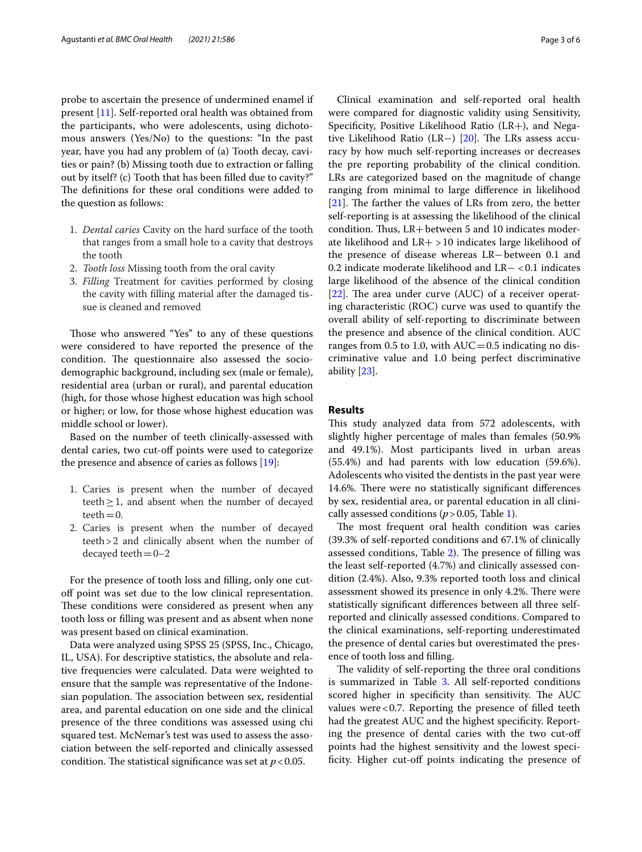probe to ascertain the presence of undermined enamel if present [[11\]](#page-5-9). Self-reported oral health was obtained from the participants, who were adolescents, using dichotomous answers (Yes/No) to the questions: "In the past year, have you had any problem of (a) Tooth decay, cavities or pain? (b) Missing tooth due to extraction or falling out by itself? (c) Tooth that has been flled due to cavity?" The definitions for these oral conditions were added to the question as follows:

- 1. *Dental caries* Cavity on the hard surface of the tooth that ranges from a small hole to a cavity that destroys the tooth
- 2. *Tooth loss* Missing tooth from the oral cavity
- 3. *Filling* Treatment for cavities performed by closing the cavity with flling material after the damaged tissue is cleaned and removed

Those who answered "Yes" to any of these questions were considered to have reported the presence of the condition. The questionnaire also assessed the sociodemographic background, including sex (male or female), residential area (urban or rural), and parental education (high, for those whose highest education was high school or higher; or low, for those whose highest education was middle school or lower).

Based on the number of teeth clinically-assessed with dental caries, two cut-off points were used to categorize the presence and absence of caries as follows [\[19\]](#page-5-17):

- 1. Caries is present when the number of decayed teeth $\geq$  1, and absent when the number of decayed teeth $=0$ .
- 2. Caries is present when the number of decayed teeth>2 and clinically absent when the number of decayed teeth $=0-2$

For the presence of tooth loss and flling, only one cutoff point was set due to the low clinical representation. These conditions were considered as present when any tooth loss or flling was present and as absent when none was present based on clinical examination.

Data were analyzed using SPSS 25 (SPSS, Inc., Chicago, IL, USA). For descriptive statistics, the absolute and relative frequencies were calculated. Data were weighted to ensure that the sample was representative of the Indonesian population. The association between sex, residential area, and parental education on one side and the clinical presence of the three conditions was assessed using chi squared test. McNemar's test was used to assess the association between the self-reported and clinically assessed condition. The statistical significance was set at  $p < 0.05$ .

Clinical examination and self-reported oral health were compared for diagnostic validity using Sensitivity, Specifcity, Positive Likelihood Ratio (LR+), and Nega-tive Likelihood Ratio (LR−) [[20\]](#page-5-18). The LRs assess accuracy by how much self-reporting increases or decreases the pre reporting probability of the clinical condition. LRs are categorized based on the magnitude of change ranging from minimal to large diference in likelihood [[21\]](#page-5-19). The farther the values of LRs from zero, the better self-reporting is at assessing the likelihood of the clinical condition. Thus,  $LR+$  between 5 and 10 indicates moderate likelihood and LR+ >10 indicates large likelihood of the presence of disease whereas LR−between 0.1 and 0.2 indicate moderate likelihood and LR− <0.1 indicates large likelihood of the absence of the clinical condition  $[22]$  $[22]$ . The area under curve (AUC) of a receiver operating characteristic (ROC) curve was used to quantify the overall ability of self-reporting to discriminate between the presence and absence of the clinical condition. AUC ranges from 0.5 to 1.0, with  $AUC=0.5$  indicating no discriminative value and 1.0 being perfect discriminative ability [\[23](#page-5-21)].

## **Results**

This study analyzed data from 572 adolescents, with slightly higher percentage of males than females (50.9% and 49.1%). Most participants lived in urban areas (55.4%) and had parents with low education (59.6%). Adolescents who visited the dentists in the past year were 14.6%. There were no statistically significant differences by sex, residential area, or parental education in all clinically assessed conditions ( $p > 0.05$ , Table [1\)](#page-3-0).

The most frequent oral health condition was caries (39.3% of self-reported conditions and 67.1% of clinically assessed conditions, Table  $2$ ). The presence of filling was the least self-reported (4.7%) and clinically assessed condition (2.4%). Also, 9.3% reported tooth loss and clinical assessment showed its presence in only 4.2%. There were statistically signifcant diferences between all three selfreported and clinically assessed conditions. Compared to the clinical examinations, self-reporting underestimated the presence of dental caries but overestimated the presence of tooth loss and flling.

The validity of self-reporting the three oral conditions is summarized in Table [3.](#page-3-2) All self-reported conditions scored higher in specificity than sensitivity. The AUC values were  $< 0.7$ . Reporting the presence of filled teeth had the greatest AUC and the highest specifcity. Reporting the presence of dental caries with the two cut-of points had the highest sensitivity and the lowest specificity. Higher cut-off points indicating the presence of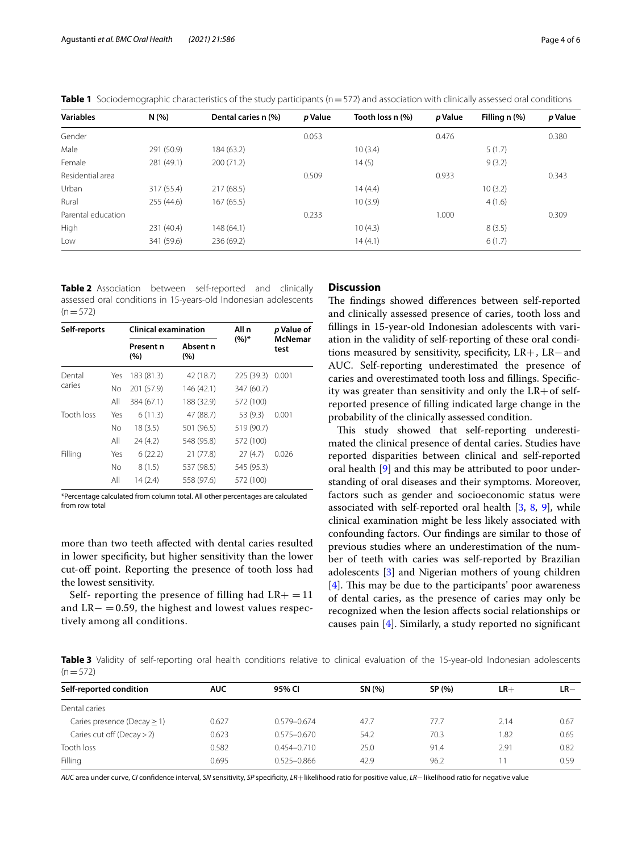| <b>Variables</b>   | N(%        | Dental caries n (%) | p Value | Tooth loss n (%) | p Value | Filling n (%) | p Value |
|--------------------|------------|---------------------|---------|------------------|---------|---------------|---------|
| Gender             |            |                     | 0.053   |                  | 0.476   |               | 0.380   |
| Male               | 291 (50.9) | 184 (63.2)          |         | 10(3.4)          |         | 5(1.7)        |         |
| Female             | 281 (49.1) | 200(71.2)           |         | 14(5)            |         | 9(3.2)        |         |
| Residential area   |            |                     | 0.509   |                  | 0.933   |               | 0.343   |
| Urban              | 317 (55.4) | 217(68.5)           |         | 14 (4.4)         |         | 10(3.2)       |         |
| Rural              | 255 (44.6) | 167(65.5)           |         | 10(3.9)          |         | 4(1.6)        |         |
| Parental education |            |                     | 0.233   |                  | 1.000   |               | 0.309   |
| High               | 231 (40.4) | 148(64.1)           |         | 10(4.3)          |         | 8(3.5)        |         |
| Low                | 341 (59.6) | 236 (69.2)          |         | 14(4.1)          |         | 6(1.7)        |         |

<span id="page-3-0"></span>**Table 1** Sociodemographic characteristics of the study participants (n=572) and association with clinically assessed oral conditions

<span id="page-3-1"></span>**Table 2** Association between self-reported and clinically assessed oral conditions in 15-years-old Indonesian adolescents  $(n=572)$ 

| Self-reports |           | <b>Clinical examination</b> |                 | All n      | p Value of<br><b>McNemar</b><br>test |  |
|--------------|-----------|-----------------------------|-----------------|------------|--------------------------------------|--|
|              |           | Present n<br>(%)            | Absent n<br>(%) | $(%)^*$    |                                      |  |
| Dental       | Yes       | 183 (81.3)                  | 42 (18.7)       | 225 (39.3) | 0.001                                |  |
| caries       | <b>No</b> | 201 (57.9)                  | 146 (42.1)      | 347 (60.7) |                                      |  |
|              | All       | 384 (67.1)                  | 188 (32.9)      | 572 (100)  |                                      |  |
| Tooth loss   | Yes       | 6(11.3)                     | 47 (88.7)       | 53 (9.3)   | 0.001                                |  |
|              | No        | 18(3.5)                     | 501 (96.5)      | 519 (90.7) |                                      |  |
|              | All       | 24(4.2)                     | 548 (95.8)      | 572 (100)  |                                      |  |
| Filling      | Yes       | 6(22.2)                     | 21 (77.8)       | 27(4.7)    | 0.026                                |  |
|              | No        | 8(1.5)                      | 537 (98.5)      | 545 (95.3) |                                      |  |
|              | All       | 14 (2.4)                    | 558 (97.6)      | 572 (100)  |                                      |  |

\*Percentage calculated from column total. All other percentages are calculated from row total

more than two teeth afected with dental caries resulted in lower specifcity, but higher sensitivity than the lower cut-off point. Reporting the presence of tooth loss had the lowest sensitivity.

Self- reporting the presence of filling had  $LR+ = 11$ and  $LR-$  = 0.59, the highest and lowest values respectively among all conditions.

## **Discussion**

The findings showed differences between self-reported and clinically assessed presence of caries, tooth loss and fllings in 15-year-old Indonesian adolescents with variation in the validity of self-reporting of these oral conditions measured by sensitivity, specifcity, LR+, LR−and AUC. Self-reporting underestimated the presence of caries and overestimated tooth loss and fllings. Specifcity was greater than sensitivity and only the  $LR+$  of selfreported presence of flling indicated large change in the probability of the clinically assessed condition.

This study showed that self-reporting underestimated the clinical presence of dental caries. Studies have reported disparities between clinical and self-reported oral health [[9\]](#page-5-5) and this may be attributed to poor understanding of oral diseases and their symptoms. Moreover, factors such as gender and socioeconomic status were associated with self-reported oral health [\[3,](#page-5-22) [8,](#page-5-7) [9\]](#page-5-5), while clinical examination might be less likely associated with confounding factors. Our fndings are similar to those of previous studies where an underestimation of the number of teeth with caries was self-reported by Brazilian adolescents [\[3](#page-5-22)] and Nigerian mothers of young children  $[4]$  $[4]$ . This may be due to the participants' poor awareness of dental caries, as the presence of caries may only be recognized when the lesion afects social relationships or causes pain [[4\]](#page-5-1). Similarly, a study reported no signifcant

<span id="page-3-2"></span>**Table 3** Validity of self-reporting oral health conditions relative to clinical evaluation of the 15-year-old Indonesian adolescents  $(n=572)$ 

| Self-reported condition          | <b>AUC</b> | 95% CI          | SN (%) | SP (%) | $LR+$ | $LR-$ |  |  |
|----------------------------------|------------|-----------------|--------|--------|-------|-------|--|--|
| Dental caries                    |            |                 |        |        |       |       |  |  |
| Caries presence (Decay $\geq$ 1) | 0.627      | $0.579 - 0.674$ | 47.7   | 77.7   | 2.14  | 0.67  |  |  |
| Caries cut off (Decay $>$ 2)     | 0.623      | $0.575 - 0.670$ | 54.2   | 70.3   | 1.82  | 0.65  |  |  |
| Tooth loss                       | 0.582      | $0.454 - 0.710$ | 25.0   | 91.4   | 2.91  | 0.82  |  |  |
| Filling                          | 0.695      | $0.525 - 0.866$ | 42.9   | 96.2   |       | 0.59  |  |  |

*AUC* area under curve, *CI* confdence interval, *SN* sensitivity, *SP* specifcity, *LR*+likelihood ratio for positive value, *LR*−likelihood ratio for negative value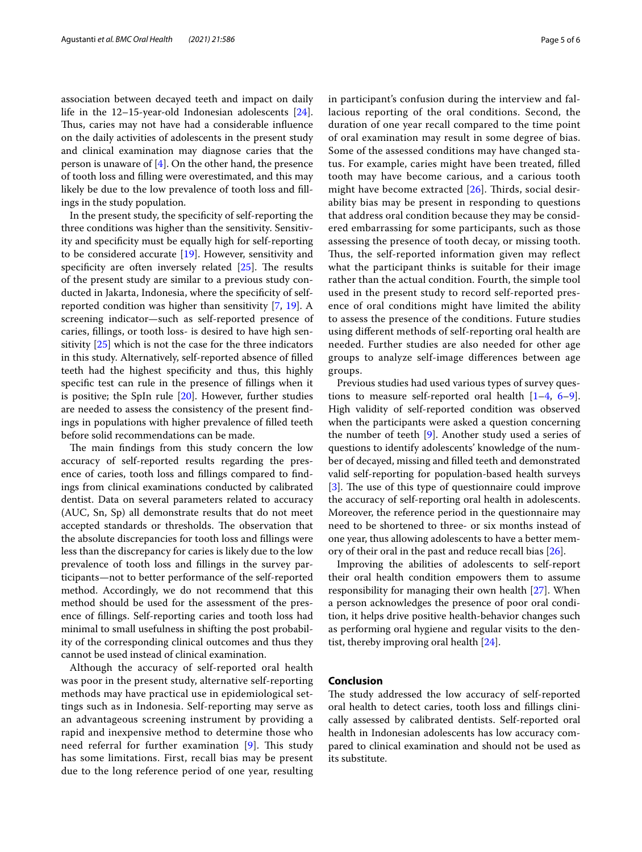association between decayed teeth and impact on daily life in the 12–15-year-old Indonesian adolescents [\[24](#page-5-23)]. Thus, caries may not have had a considerable influence on the daily activities of adolescents in the present study and clinical examination may diagnose caries that the person is unaware of [\[4](#page-5-1)]. On the other hand, the presence of tooth loss and flling were overestimated, and this may likely be due to the low prevalence of tooth loss and fllings in the study population.

In the present study, the specifcity of self-reporting the three conditions was higher than the sensitivity. Sensitivity and specifcity must be equally high for self-reporting to be considered accurate [\[19](#page-5-17)]. However, sensitivity and specificity are often inversely related  $[25]$  $[25]$ . The results of the present study are similar to a previous study conducted in Jakarta, Indonesia, where the specifcity of selfreported condition was higher than sensitivity [[7,](#page-5-6) [19](#page-5-17)]. A screening indicator—such as self-reported presence of caries, fllings, or tooth loss- is desired to have high sensitivity [\[25\]](#page-5-24) which is not the case for the three indicators in this study. Alternatively, self-reported absence of flled teeth had the highest specifcity and thus, this highly specifc test can rule in the presence of fllings when it is positive; the SpIn rule  $[20]$  $[20]$ . However, further studies are needed to assess the consistency of the present fndings in populations with higher prevalence of flled teeth before solid recommendations can be made.

The main findings from this study concern the low accuracy of self-reported results regarding the presence of caries, tooth loss and fllings compared to fndings from clinical examinations conducted by calibrated dentist. Data on several parameters related to accuracy (AUC, Sn, Sp) all demonstrate results that do not meet accepted standards or thresholds. The observation that the absolute discrepancies for tooth loss and fllings were less than the discrepancy for caries is likely due to the low prevalence of tooth loss and fllings in the survey participants—not to better performance of the self-reported method. Accordingly, we do not recommend that this method should be used for the assessment of the presence of fllings. Self-reporting caries and tooth loss had minimal to small usefulness in shifting the post probability of the corresponding clinical outcomes and thus they cannot be used instead of clinical examination.

Although the accuracy of self-reported oral health was poor in the present study, alternative self-reporting methods may have practical use in epidemiological settings such as in Indonesia. Self-reporting may serve as an advantageous screening instrument by providing a rapid and inexpensive method to determine those who need referral for further examination  $[9]$  $[9]$ . This study has some limitations. First, recall bias may be present due to the long reference period of one year, resulting in participant's confusion during the interview and fallacious reporting of the oral conditions. Second, the duration of one year recall compared to the time point of oral examination may result in some degree of bias. Some of the assessed conditions may have changed status. For example, caries might have been treated, flled tooth may have become carious, and a carious tooth might have become extracted  $[26]$  $[26]$ . Thirds, social desirability bias may be present in responding to questions that address oral condition because they may be considered embarrassing for some participants, such as those assessing the presence of tooth decay, or missing tooth. Thus, the self-reported information given may reflect what the participant thinks is suitable for their image rather than the actual condition. Fourth, the simple tool used in the present study to record self-reported presence of oral conditions might have limited the ability to assess the presence of the conditions. Future studies using diferent methods of self-reporting oral health are needed. Further studies are also needed for other age groups to analyze self-image diferences between age groups.

Previous studies had used various types of survey questions to measure self-reported oral health  $[1-4, 6-9]$  $[1-4, 6-9]$  $[1-4, 6-9]$  $[1-4, 6-9]$  $[1-4, 6-9]$ . High validity of self-reported condition was observed when the participants were asked a question concerning the number of teeth [\[9](#page-5-5)]. Another study used a series of questions to identify adolescents' knowledge of the number of decayed, missing and flled teeth and demonstrated valid self-reporting for population-based health surveys [[3\]](#page-5-22). The use of this type of questionnaire could improve the accuracy of self-reporting oral health in adolescents. Moreover, the reference period in the questionnaire may need to be shortened to three- or six months instead of one year, thus allowing adolescents to have a better memory of their oral in the past and reduce recall bias [[26\]](#page-5-25).

Improving the abilities of adolescents to self-report their oral health condition empowers them to assume responsibility for managing their own health [\[27\]](#page-5-26). When a person acknowledges the presence of poor oral condition, it helps drive positive health-behavior changes such as performing oral hygiene and regular visits to the dentist, thereby improving oral health [\[24](#page-5-23)].

## **Conclusion**

The study addressed the low accuracy of self-reported oral health to detect caries, tooth loss and fllings clinically assessed by calibrated dentists. Self-reported oral health in Indonesian adolescents has low accuracy compared to clinical examination and should not be used as its substitute.